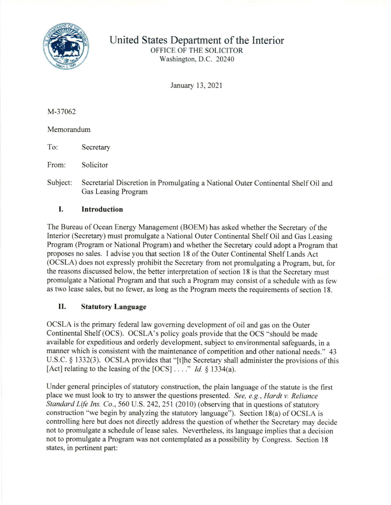

United States Department of the Interior

OFFICE OF THE SOLICITOR Washington, D.C. 20240

January 13, 2021

M-37062

Memorandum

To: Secretary

From: Solicitor

Subject: Secretarial Discretion in Promulgating a National Outer Continental Shelf Oil and Gas Leasing Program

## I. Introduction

The Bureau of Ocean Energy Management (BOEM) has asked whether the Secretary of the Interior (Secretary) must promulgate a National Outer Continental Shelf Oil and Gas Leasing Program (Program or National Program) and whether the Secretary could adopt a Program that proposes no sales. I advise you that section 18 of the Outer Continental Shelf Lands Act (OCSLA) does not expressly prohibit the Secretary from not promulgating a Program, but, for the reasons discussed below, the better interpretation of section 18 is that the Secretary must promulgate a National Program and that such a Program may consist of a schedule with as few as two lease sales, but no fewer, as long as the Program meets the requirements of section 18.

## II. Statutory Language

OCSLA is the primary federal law goveming development of oil and gas on the Outer Continental Shelf (OCS). OCSLA's policy goals provide that the OCS "should be made available for expeditious and orderly development, subject to environmental safeguards, in a manner which is consistent with the maintenance of competition and other national needs." 43 U.S.C. \$ 1332(3). OCSLA provides that "[t]he Secretary shall administer the provisions of this [Act] relating to the leasing of the  $[OCS] \dots$ ." Id. § 1334(a).

Under general principles of statutory construction, the plain language of the statute is the first place we must look to try to answer the questions presented. See, e.g., Hardt v. Reliance Standard Life Ins. Co., 560 U.S. 242, 251 (2010) (observing that in questions of statutory construction "we begin by analyzing the statutory language"). Section  $18(a)$  of OCSLA is controlling here but does not directly address the question of whether the Secretary may decide not to promulgate a schedule of lease sales. Nevertheless, its language implies that a decision not to promulgate a Program was not contemplated as a possibility by Congress. Section l8 states, in pertinent part: